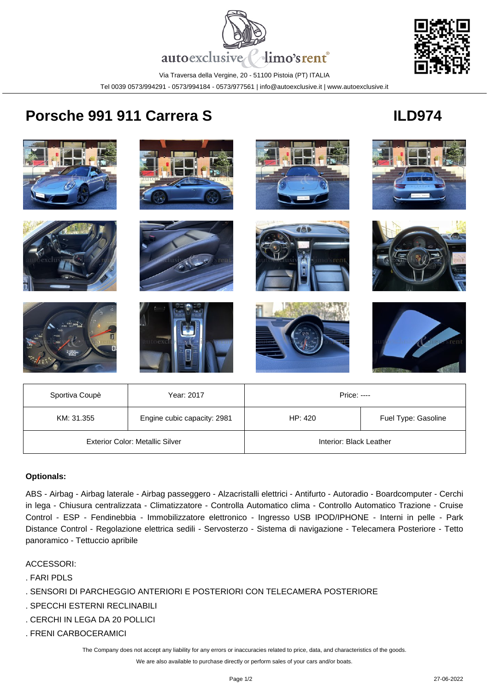



Via Traversa della Vergine, 20 - 51100 Pistoia (PT) ITALIA Tel 0039 0573/994291 - 0573/994184 - 0573/977561 | info@autoexclusive.it | www.autoexclusive.it

## **Porsche 991 911 Carrera S ILD974**



| Sportiva Coupè                         | Year: 2017                  | Price: ----             |                     |
|----------------------------------------|-----------------------------|-------------------------|---------------------|
| KM: 31.355                             | Engine cubic capacity: 2981 | HP: 420                 | Fuel Type: Gasoline |
| <b>Exterior Color: Metallic Silver</b> |                             | Interior: Black Leather |                     |

## **Optionals:**

ABS - Airbag - Airbag laterale - Airbag passeggero - Alzacristalli elettrici - Antifurto - Autoradio - Boardcomputer - Cerchi in lega - Chiusura centralizzata - Climatizzatore - Controlla Automatico clima - Controllo Automatico Trazione - Cruise Control - ESP - Fendinebbia - Immobilizzatore elettronico - Ingresso USB IPOD/IPHONE - Interni in pelle - Park Distance Control - Regolazione elettrica sedili - Servosterzo - Sistema di navigazione - Telecamera Posteriore - Tetto panoramico - Tettuccio apribile

## ACCESSORI:

- . FARI PDLS
- . SENSORI DI PARCHEGGIO ANTERIORI E POSTERIORI CON TELECAMERA POSTERIORE
- . SPECCHI ESTERNI RECLINABILI
- . CERCHI IN LEGA DA 20 POLLICI
- . FRENI CARBOCERAMICI

The Company does not accept any liability for any errors or inaccuracies related to price, data, and characteristics of the goods.

We are also available to purchase directly or perform sales of your cars and/or boats.